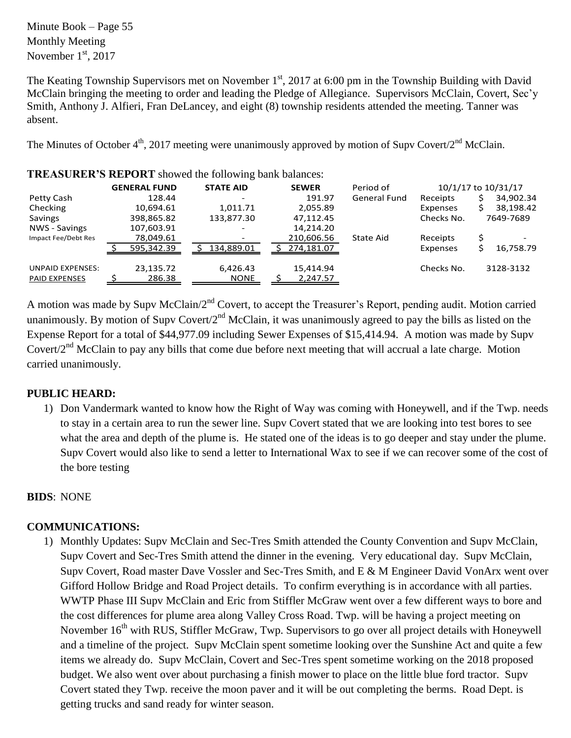Minute Book – Page 55 Monthly Meeting November  $1<sup>st</sup>$ , 2017

The Keating Township Supervisors met on November  $1<sup>st</sup>$ , 2017 at 6:00 pm in the Township Building with David McClain bringing the meeting to order and leading the Pledge of Allegiance. Supervisors McClain, Covert, Sec'y Smith, Anthony J. Alfieri, Fran DeLancey, and eight (8) township residents attended the meeting. Tanner was absent.

The Minutes of October  $4<sup>th</sup>$ , 2017 meeting were unanimously approved by motion of Supv Covert/2<sup>nd</sup> McClain.

|                                          | <b>GENERAL FUND</b> | <b>STATE AID</b>         | <b>SEWER</b>          | Period of    |            | 10/1/17 to 10/31/17 |
|------------------------------------------|---------------------|--------------------------|-----------------------|--------------|------------|---------------------|
| Petty Cash                               | 128.44              |                          | 191.97                | General Fund | Receipts   | 34,902.34           |
| Checking                                 | 10,694.61           | 1,011.71                 | 2,055.89              |              | Expenses   | 38,198.42           |
| Savings                                  | 398,865.82          | 133,877.30               | 47,112.45             |              | Checks No. | 7649-7689           |
| NWS - Savings                            | 107,603.91          | $\overline{\phantom{0}}$ | 14,214.20             |              |            |                     |
| Impact Fee/Debt Res                      | 78,049.61           |                          | 210,606.56            | State Aid    | Receipts   |                     |
|                                          | 595,342.39          | 134,889.01               | 274,181.07            |              | Expenses   | 16,758.79<br>Ś      |
| UNPAID EXPENSES:<br><b>PAID EXPENSES</b> | 23,135.72<br>286.38 | 6,426.43<br><b>NONE</b>  | 15,414.94<br>2,247.57 |              | Checks No. | 3128-3132           |
|                                          |                     |                          |                       |              |            |                     |

**TREASURER'S REPORT** showed the following bank balances:

A motion was made by Supv McClain/2<sup>nd</sup> Covert, to accept the Treasurer's Report, pending audit. Motion carried unanimously. By motion of Supv Covert/ $2<sup>nd</sup>$  McClain, it was unanimously agreed to pay the bills as listed on the Expense Report for a total of \$44,977.09 including Sewer Expenses of \$15,414.94. A motion was made by Supv Covert/2<sup>nd</sup> McClain to pay any bills that come due before next meeting that will accrual a late charge. Motion carried unanimously.

## **PUBLIC HEARD:**

1) Don Vandermark wanted to know how the Right of Way was coming with Honeywell, and if the Twp. needs to stay in a certain area to run the sewer line. Supv Covert stated that we are looking into test bores to see what the area and depth of the plume is. He stated one of the ideas is to go deeper and stay under the plume. Supv Covert would also like to send a letter to International Wax to see if we can recover some of the cost of the bore testing

## **BIDS**: NONE

## **COMMUNICATIONS:**

1) Monthly Updates: Supv McClain and Sec-Tres Smith attended the County Convention and Supv McClain, Supv Covert and Sec-Tres Smith attend the dinner in the evening. Very educational day. Supv McClain, Supv Covert, Road master Dave Vossler and Sec-Tres Smith, and E & M Engineer David VonArx went over Gifford Hollow Bridge and Road Project details. To confirm everything is in accordance with all parties. WWTP Phase III Supv McClain and Eric from Stiffler McGraw went over a few different ways to bore and the cost differences for plume area along Valley Cross Road. Twp. will be having a project meeting on November 16<sup>th</sup> with RUS, Stiffler McGraw, Twp. Supervisors to go over all project details with Honeywell and a timeline of the project. Supv McClain spent sometime looking over the Sunshine Act and quite a few items we already do. Supv McClain, Covert and Sec-Tres spent sometime working on the 2018 proposed budget. We also went over about purchasing a finish mower to place on the little blue ford tractor. Supv Covert stated they Twp. receive the moon paver and it will be out completing the berms. Road Dept. is getting trucks and sand ready for winter season.